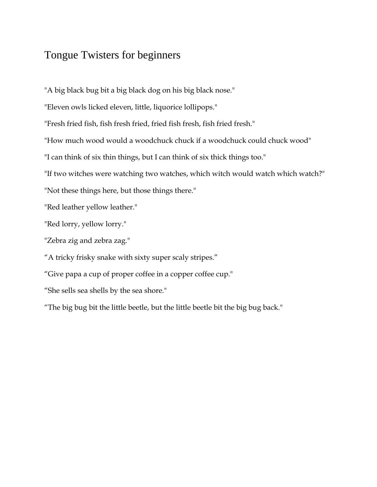## Tongue Twisters for beginners

"A big black bug bit a big black dog on his big black nose."

"Eleven owls licked eleven, little, liquorice lollipops."

"Fresh fried fish, fish fresh fried, fried fish fresh, fish fried fresh."

"How much wood would a woodchuck chuck if a woodchuck could chuck wood"

"I can think of six thin things, but I can think of six thick things too."

"If two witches were watching two watches, which witch would watch which watch?"

"Not these things here, but those things there."

"Red leather yellow leather."

"Red lorry, yellow lorry."

"Zebra zig and zebra zag."

"A tricky frisky snake with sixty super scaly stripes."

"Give papa a cup of proper coffee in a copper coffee cup."

"She sells sea shells by the sea shore."

"The big bug bit the little beetle, but the little beetle bit the big bug back."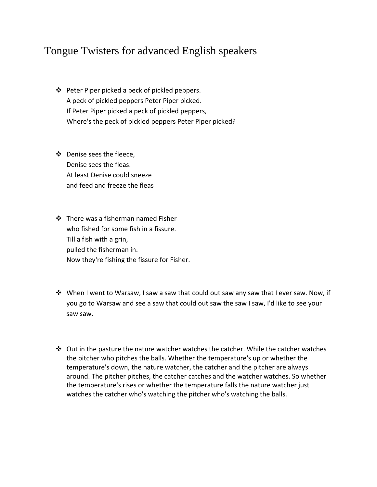## Tongue Twisters for advanced English speakers

- Peter Piper picked a peck of pickled peppers. A peck of pickled peppers Peter Piper picked. If Peter Piper picked a peck of pickled peppers, Where's the peck of pickled peppers Peter Piper picked?
- ❖ Denise sees the fleece, Denise sees the fleas. At least Denise could sneeze and feed and freeze the fleas
- $\div$  There was a fisherman named Fisher who fished for some fish in a fissure. Till a fish with a grin, pulled the fisherman in. Now they're fishing the fissure for Fisher.
- $\mathbf{\hat{P}}$  When I went to Warsaw, I saw a saw that could out saw any saw that I ever saw. Now, if you go to Warsaw and see a saw that could out saw the saw I saw, I'd like to see your saw saw.
- $\clubsuit$  Out in the pasture the nature watcher watches the catcher. While the catcher watches the pitcher who pitches the balls. Whether the temperature's up or whether the temperature's down, the nature watcher, the catcher and the pitcher are always around. The pitcher pitches, the catcher catches and the watcher watches. So whether the temperature's rises or whether the temperature falls the nature watcher just watches the catcher who's watching the pitcher who's watching the balls.